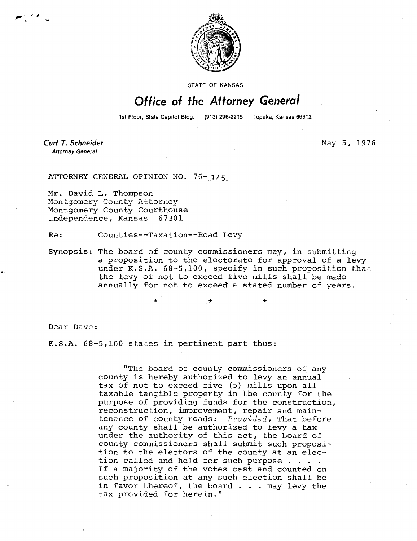

STATE OF KANSAS

## Office of the Attorney General

1st Floor, State Capitol Bldg. (913) 296-2215 Topeka, Kansas 66612

**Curt T. Schneider Attorney General** 

May 5, 1976

ATTORNEY GENERAL OPINION NO. 76- 145

Mr. David L. Thompson Montgomery County Attorney Montgomery County Courthouse Independence, Kansas 67301

Re: Counties--Taxation--Road Levy

Synopsis: The board of county commissioners may, in submitting a proposition to the electorate for approval of a levy under K.S.A. 68-5,100, specify in such proposition that the levy of not to exceed five mills shall be made annually for not to exceed a stated number of years.

Dear Dave:

K.S.A. 68-5,100 states in pertinent part thus:

"The board of county commissioners of any county is hereby authorized to levy an annual tax of not to exceed five (5) mills upon all taxable tangible property in the county for the purpose of providing funds for the construction, reconstruction, improvement, repair and maintenance of county roads: Provided, That before any county shall be authorized to levy a tax under the authority of this act, the board of county commissioners shall submit such proposition to the electors of the county at an election called and held for such purpose . . . . If a majority of the votes cast and counted on such proposition at any such election shall be in favor thereof, the board . . . may levy the tax provided for herein."